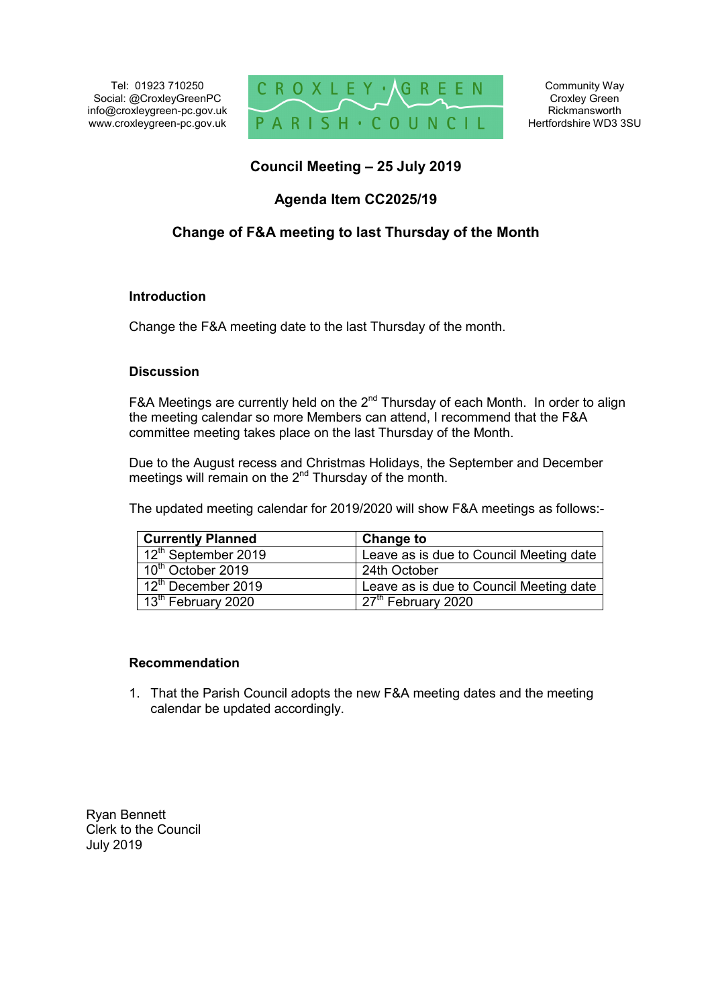Tel: 01923 710250 Social: @CroxleyGreenPC info@croxleygreen-pc.gov.uk www.croxleygreen-pc.gov.uk



Community Way Croxley Green Rickmansworth Hertfordshire WD3 3SU

## **Council Meeting – 25 July 2019**

### **Agenda Item CC2025/19**

## **Change of F&A meeting to last Thursday of the Month**

#### **Introduction**

Change the F&A meeting date to the last Thursday of the month.

#### **Discussion**

F&A Meetings are currently held on the  $2<sup>nd</sup>$  Thursday of each Month. In order to align the meeting calendar so more Members can attend, I recommend that the F&A committee meeting takes place on the last Thursday of the Month.

Due to the August recess and Christmas Holidays, the September and December meetings will remain on the 2<sup>nd</sup> Thursday of the month.

The updated meeting calendar for 2019/2020 will show F&A meetings as follows:-

| <b>Currently Planned</b>        | <b>Change to</b>                        |
|---------------------------------|-----------------------------------------|
| 12 <sup>th</sup> September 2019 | Leave as is due to Council Meeting date |
| 10 <sup>th</sup> October 2019   | 24th October                            |
| 12 <sup>th</sup> December 2019  | Leave as is due to Council Meeting date |
| 13 <sup>th</sup> February 2020  | $\sqrt{27^{th}}$ February 2020          |

#### **Recommendation**

1. That the Parish Council adopts the new F&A meeting dates and the meeting calendar be updated accordingly.

Ryan Bennett Clerk to the Council July 2019